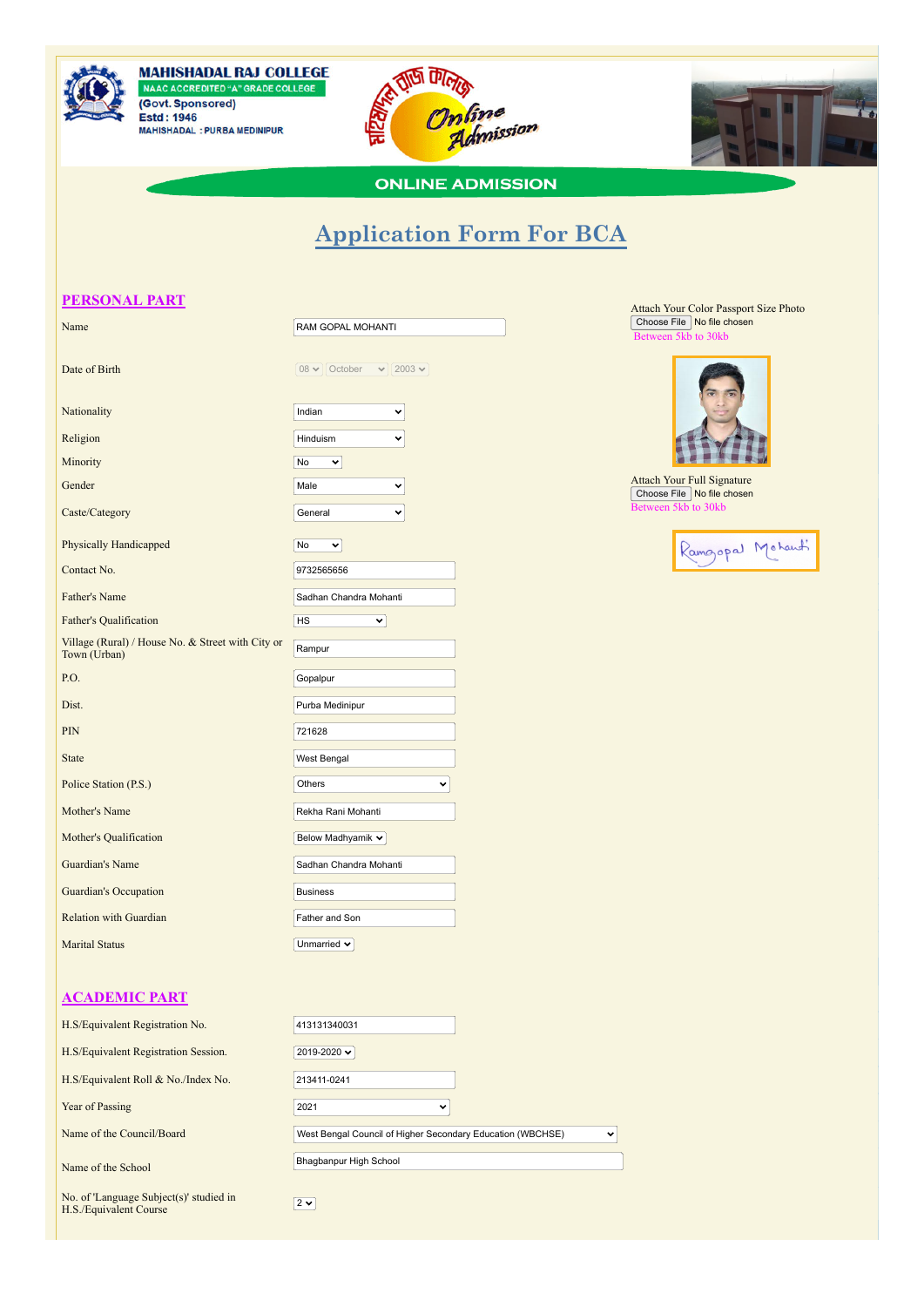

**MAHISHADAL RAJ COLLEGE** NAAC ACCREDITED "A" GRADE COLLEGE (Govt. Sponsored) **Estd: 1946** MAHISHADAL : PURBA MEDINIPUR





**ONLINE ADMISSION** 

## **Application Form For BCA**

## **PERSONAL PART**

| Name                                                              | RAM GOPAL MOHANTI                    |  |  |
|-------------------------------------------------------------------|--------------------------------------|--|--|
| Date of Birth                                                     | 08 $\vee$ October $\vee$ 2003 $\vee$ |  |  |
| Nationality                                                       | Indian<br>Ÿ                          |  |  |
| Religion                                                          | Hinduism                             |  |  |
| Minority                                                          | <b>No</b><br>⌄                       |  |  |
| Gender                                                            | Male                                 |  |  |
| Caste/Category                                                    | General                              |  |  |
| <b>Physically Handicapped</b>                                     | No<br>$\checkmark$                   |  |  |
| Contact No.                                                       | 9732565656                           |  |  |
| Father's Name                                                     | Sadhan Chandra Mohanti               |  |  |
| Father's Qualification                                            | HS<br>v                              |  |  |
| Village (Rural) / House No. & Street with City or<br>Town (Urban) | Rampur                               |  |  |
| P.O.                                                              | Gopalpur                             |  |  |
| Dist.                                                             | Purba Medinipur                      |  |  |
| <b>PIN</b>                                                        | 721628                               |  |  |
| <b>State</b>                                                      | West Bengal                          |  |  |
| Police Station (P.S.)                                             | Others<br>◡                          |  |  |
| Mother's Name                                                     | Rekha Rani Mohanti                   |  |  |
| Mother's Qualification                                            | Below Madhyamik v                    |  |  |
| Guardian's Name                                                   | Sadhan Chandra Mohanti               |  |  |
| <b>Guardian's Occupation</b>                                      | <b>Business</b>                      |  |  |
| <b>Relation with Guardian</b>                                     | Father and Son                       |  |  |
| <b>Marital Status</b>                                             | Unmarried $\sim$                     |  |  |

## **ACADEMIC PART**

| H.S/Equivalent Registration No.                                   | 413131340031                                               |              |
|-------------------------------------------------------------------|------------------------------------------------------------|--------------|
| H.S/Equivalent Registration Session.                              | 2019-2020 $\sim$                                           |              |
| H.S/Equivalent Roll & No./Index No.                               | 213411-0241                                                |              |
| Year of Passing                                                   | 2021<br>$\checkmark$                                       |              |
| Name of the Council/Board                                         | West Bengal Council of Higher Secondary Education (WBCHSE) | $\checkmark$ |
| Name of the School                                                | Bhagbanpur High School                                     |              |
| No. of 'Language Subject(s)' studied in<br>H.S./Equivalent Course | $2 \times$                                                 |              |

Attach Your Color Passport Size Photo Choose File No file chosen  $\overline{\text{en 5kb}}$  to 30kb



Attach Your Full Signature Choose File No file chosen Between 5kb to 30kb